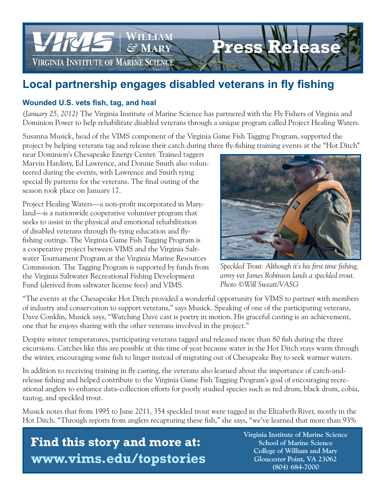

## **Local partnership engages disabled veterans in fly fishing**

## **Wounded U.S. vets fish, tag, and heal**

*(January 25, 2012)* The Virginia Institute of Marine Science has partnered with the Fly Fishers of Virginia and Dominion Power to help rehabilitate disabled veterans through a unique program called Project Healing Waters.

Susanna Musick, head of the VIMS component of the Virginia Game Fish Tagging Program, supported the project by helping veterans tag and release their catch during three fly-fishing training events at the "Hot Ditch"

near Dominion's Chesapeake Energy Center. Trained taggers Marvin Hardisty, Ed Lawrence, and Donnie Smith also volunteered during the events, with Lawrence and Smith tying special fly patterns for the veterans. The final outing of the season took place on January 17.

Project Healing Waters—a non-profit incorporated in Maryland—is a nationwide cooperative volunteer program that seeks to assist in the physical and emotional rehabilitation of disabled veterans through fly-tying education and flyfishing outings. The Virginia Game Fish Tagging Program is a cooperative project between VIMS and the Virginia Saltwater Tournament Program at the Virginia Marine Resources Commission. The Tagging Program is supported by funds from the Virginia Saltwater Recreational Fishing Development Fund (derived from saltwater license fees) and VIMS.



*Speckled Trout: Although it's his first time fishing, army vet James Robinson lands a speckled trout. Photo ©Will Sweatt/VASG*

"The events at the Chesapeake Hot Ditch provided a wonderful opportunity for VIMS to partner with members of industry and conservation to support veterans," says Musick. Speaking of one of the participating veterans, Dave Conklin, Musick says, "Watching Dave cast is poetry in motion. His graceful casting is an achievement, one that he enjoys sharing with the other veterans involved in the project."

Despite winter temperatures, participating veterans tagged and released more than 80 fish during the three excursions. Catches like this are possible at this time of year because water in the Hot Ditch stays warm through the winter, encouraging some fish to linger instead of migrating out of Chesapeake Bay to seek warmer waters.

In addition to receiving training in fly casting, the veterans also learned about the importance of catch-andrelease fishing and helped contribute to the Virginia Game Fish Tagging Program's goal of encouraging recreational anglers to enhance data-collection efforts for poorly studied species such as red drum, black drum, cobia, tautog, and speckled trout.

Musick notes that from 1995 to June 2011, 354 speckled trout were tagged in the Elizabeth River, mostly in the Hot Ditch. "Through reports from anglers recapturing these fish," she says, "we've learned that more than 93%

 **Find this story and more at: www.vims.edu/topstories**  **Virginia Institute of Marine Science School of Marine Science College of William and Mary Gloucester Point, VA 23062 (804) 684-7000**